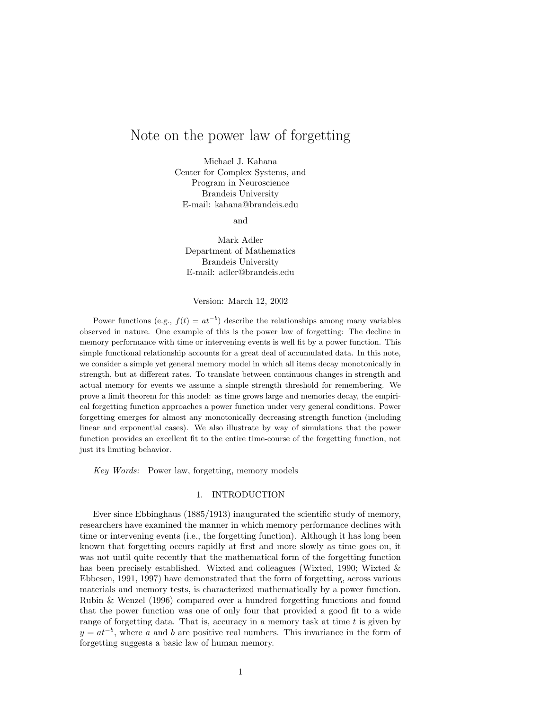# Note on the power law of forgetting

Michael J. Kahana Center for Complex Systems, and Program in Neuroscience Brandeis University E-mail: kahana@brandeis.edu

and

Mark Adler Department of Mathematics Brandeis University E-mail: adler@brandeis.edu

# Version: March 12, 2002

Power functions (e.g.,  $f(t) = at^{-b}$ ) describe the relationships among many variables observed in nature. One example of this is the power law of forgetting: The decline in memory performance with time or intervening events is well fit by a power function. This simple functional relationship accounts for a great deal of accumulated data. In this note, we consider a simple yet general memory model in which all items decay monotonically in strength, but at different rates. To translate between continuous changes in strength and actual memory for events we assume a simple strength threshold for remembering. We prove a limit theorem for this model: as time grows large and memories decay, the empirical forgetting function approaches a power function under very general conditions. Power forgetting emerges for almost any monotonically decreasing strength function (including linear and exponential cases). We also illustrate by way of simulations that the power function provides an excellent fit to the entire time-course of the forgetting function, not just its limiting behavior.

Key Words: Power law, forgetting, memory models

### 1. INTRODUCTION

Ever since Ebbinghaus (1885/1913) inaugurated the scientific study of memory, researchers have examined the manner in which memory performance declines with time or intervening events (i.e., the forgetting function). Although it has long been known that forgetting occurs rapidly at first and more slowly as time goes on, it was not until quite recently that the mathematical form of the forgetting function has been precisely established. Wixted and colleagues (Wixted, 1990; Wixted & Ebbesen, 1991, 1997) have demonstrated that the form of forgetting, across various materials and memory tests, is characterized mathematically by a power function. Rubin & Wenzel (1996) compared over a hundred forgetting functions and found that the power function was one of only four that provided a good fit to a wide range of forgetting data. That is, accuracy in a memory task at time  $t$  is given by  $y = at^{-b}$ , where a and b are positive real numbers. This invariance in the form of forgetting suggests a basic law of human memory.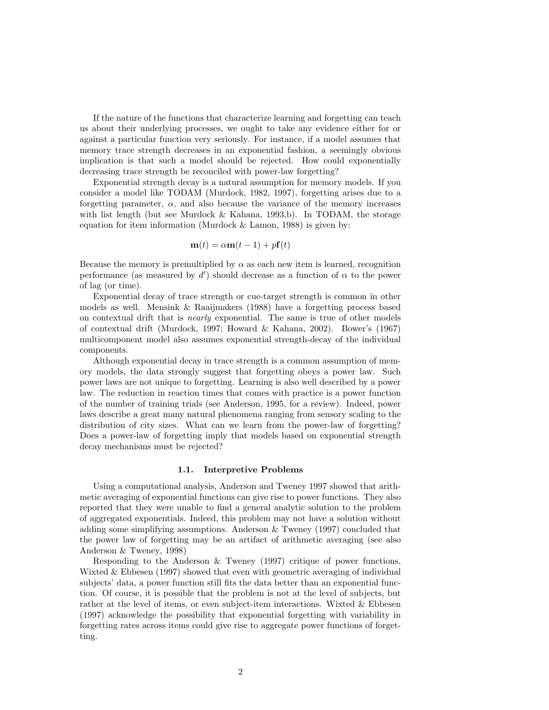If the nature of the functions that characterize learning and forgetting can teach us about their underlying processes, we ought to take any evidence either for or against a particular function very seriously. For instance, if a model assumes that memory trace strength decreases in an exponential fashion, a seemingly obvious implication is that such a model should be rejected. How could exponentially decreasing trace strength be reconciled with power-law forgetting?

Exponential strength decay is a natural assumption for memory models. If you consider a model like TODAM (Murdock, 1982, 1997), forgetting arises due to a forgetting parameter,  $\alpha$ , and also because the variance of the memory increases with list length (but see Murdock  $\&$  Kahana, 1993,b). In TODAM, the storage equation for item information (Murdock & Lamon, 1988) is given by:

$$
\mathbf{m}(t) = \alpha \mathbf{m}(t-1) + p\mathbf{f}(t)
$$

Because the memory is premultiplied by  $\alpha$  as each new item is learned, recognition performance (as measured by  $d'$ ) should decrease as a function of  $\alpha$  to the power of lag (or time).

Exponential decay of trace strength or cue-target strength is common in other models as well. Mensink & Raaijmakers (1988) have a forgetting process based on contextual drift that is nearly exponential. The same is true of other models of contextual drift (Murdock, 1997; Howard & Kahana, 2002). Bower's (1967) multicomponent model also assumes exponential strength-decay of the individual components.

Although exponential decay in trace strength is a common assumption of memory models, the data strongly suggest that forgetting obeys a power law. Such power laws are not unique to forgetting. Learning is also well described by a power law. The reduction in reaction times that comes with practice is a power function of the number of training trials (see Anderson, 1995, for a review). Indeed, power laws describe a great many natural phenomena ranging from sensory scaling to the distribution of city sizes. What can we learn from the power-law of forgetting? Does a power-law of forgetting imply that models based on exponential strength decay mechanisms must be rejected?

# 1.1. Interpretive Problems

Using a computational analysis, Anderson and Tweney 1997 showed that arithmetic averaging of exponential functions can give rise to power functions. They also reported that they were unable to find a general analytic solution to the problem of aggregated exponentials. Indeed, this problem may not have a solution without adding some simplifying assumptions. Anderson & Tweney (1997) concluded that the power law of forgetting may be an artifact of arithmetic averaging (see also Anderson & Tweney, 1998)

Responding to the Anderson & Tweney (1997) critique of power functions, Wixted & Ebbesen (1997) showed that even with geometric averaging of individual subjects' data, a power function still fits the data better than an exponential function. Of course, it is possible that the problem is not at the level of subjects, but rather at the level of items, or even subject-item interactions. Wixted & Ebbesen (1997) acknowledge the possibility that exponential forgetting with variability in forgetting rates across items could give rise to aggregate power functions of forgetting.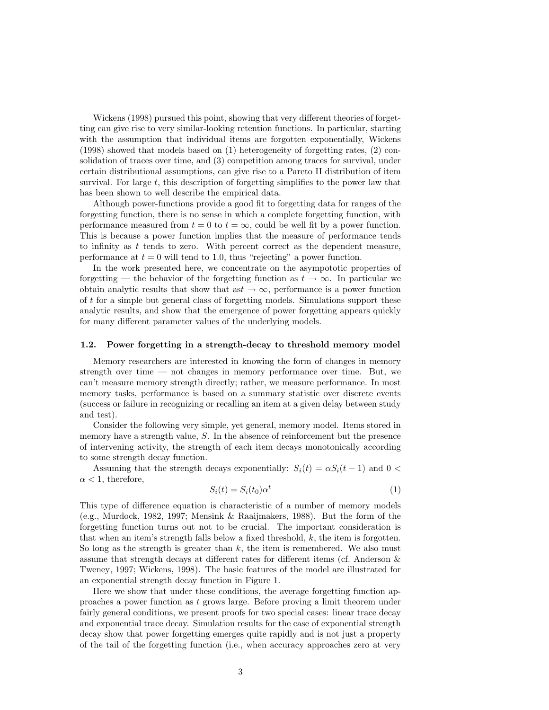Wickens (1998) pursued this point, showing that very different theories of forgetting can give rise to very similar-looking retention functions. In particular, starting with the assumption that individual items are forgotten exponentially, Wickens (1998) showed that models based on (1) heterogeneity of forgetting rates, (2) consolidation of traces over time, and (3) competition among traces for survival, under certain distributional assumptions, can give rise to a Pareto II distribution of item survival. For large t, this description of forgetting simplifies to the power law that has been shown to well describe the empirical data.

Although power-functions provide a good fit to forgetting data for ranges of the forgetting function, there is no sense in which a complete forgetting function, with performance measured from  $t = 0$  to  $t = \infty$ , could be well fit by a power function. This is because a power function implies that the measure of performance tends to infinity as  $t$  tends to zero. With percent correct as the dependent measure, performance at  $t = 0$  will tend to 1.0, thus "rejecting" a power function.

In the work presented here, we concentrate on the asympototic properties of forgetting — the behavior of the forgetting function as  $t \to \infty$ . In particular we obtain analytic results that show that as  $\rightarrow \infty$ , performance is a power function of t for a simple but general class of forgetting models. Simulations support these analytic results, and show that the emergence of power forgetting appears quickly for many different parameter values of the underlying models.

#### 1.2. Power forgetting in a strength-decay to threshold memory model

Memory researchers are interested in knowing the form of changes in memory strength over time — not changes in memory performance over time. But, we can't measure memory strength directly; rather, we measure performance. In most memory tasks, performance is based on a summary statistic over discrete events (success or failure in recognizing or recalling an item at a given delay between study and test).

Consider the following very simple, yet general, memory model. Items stored in memory have a strength value, S. In the absence of reinforcement but the presence of intervening activity, the strength of each item decays monotonically according to some strength decay function.

Assuming that the strength decays exponentially:  $S_i(t) = \alpha S_i(t-1)$  and  $0 <$  $\alpha$  < 1, therefore,

$$
S_i(t) = S_i(t_0)\alpha^t
$$
\n<sup>(1)</sup>

This type of difference equation is characteristic of a number of memory models (e.g., Murdock, 1982, 1997; Mensink & Raaijmakers, 1988). But the form of the forgetting function turns out not to be crucial. The important consideration is that when an item's strength falls below a fixed threshold, k, the item is forgotten. So long as the strength is greater than  $k$ , the item is remembered. We also must assume that strength decays at different rates for different items (cf. Anderson & Tweney, 1997; Wickens, 1998). The basic features of the model are illustrated for an exponential strength decay function in Figure 1.

Here we show that under these conditions, the average forgetting function approaches a power function as t grows large. Before proving a limit theorem under fairly general conditions, we present proofs for two special cases: linear trace decay and exponential trace decay. Simulation results for the case of exponential strength decay show that power forgetting emerges quite rapidly and is not just a property of the tail of the forgetting function (i.e., when accuracy approaches zero at very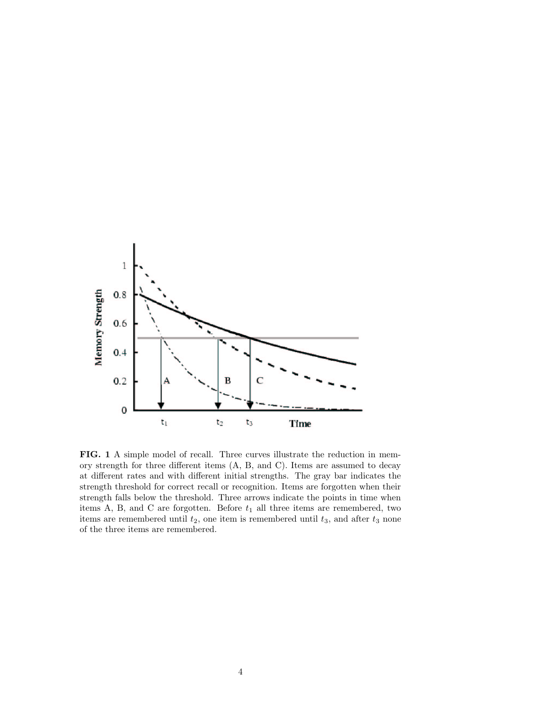

FIG. 1 A simple model of recall. Three curves illustrate the reduction in memory strength for three different items (A, B, and C). Items are assumed to decay at different rates and with different initial strengths. The gray bar indicates the strength threshold for correct recall or recognition. Items are forgotten when their strength falls below the threshold. Three arrows indicate the points in time when items A, B, and C are forgotten. Before  $t_1$  all three items are remembered, two items are remembered until  $t_2$ , one item is remembered until  $t_3$ , and after  $t_3$  none of the three items are remembered.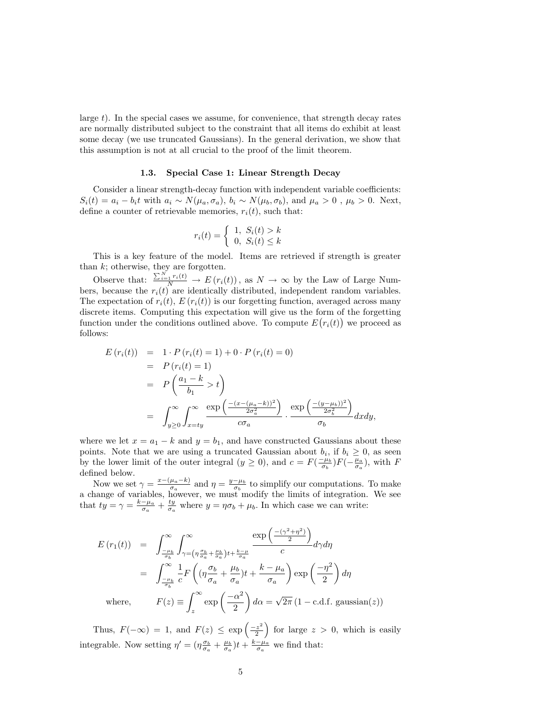large t). In the special cases we assume, for convenience, that strength decay rates are normally distributed subject to the constraint that all items do exhibit at least some decay (we use truncated Gaussians). In the general derivation, we show that this assumption is not at all crucial to the proof of the limit theorem.

#### 1.3. Special Case 1: Linear Strength Decay

Consider a linear strength-decay function with independent variable coefficients:  $S_i(t) = a_i - b_i t$  with  $a_i \sim N(\mu_a, \sigma_a)$ ,  $b_i \sim N(\mu_b, \sigma_b)$ , and  $\mu_a > 0$ ,  $\mu_b > 0$ . Next, define a counter of retrievable memories,  $r_i(t)$ , such that:

$$
r_i(t) = \begin{cases} 1, S_i(t) > k \\ 0, S_i(t) \le k \end{cases}
$$

This is a key feature of the model. Items are retrieved if strength is greater than  $k$ ; otherwise, they are forgotten.

Observe that:  $\frac{\sum_{i=1}^{N} r_i(t)}{N} \to E(r_i(t))$ , as  $N \to \infty$  by the Law of Large Numbers, because the  $r_i(t)$  are identically distributed, independent random variables. The expectation of  $r_i(t)$ ,  $E(r_i(t))$  is our forgetting function, averaged across many discrete items. Computing this expectation will give us the form of the forgetting function under the conditions outlined above. To compute  $E(r_i(t))$  we proceed as follows:

$$
E(r_i(t)) = 1 \cdot P(r_i(t) = 1) + 0 \cdot P(r_i(t) = 0)
$$
  
=  $P(r_i(t) = 1)$   
=  $P\left(\frac{a_1 - k}{b_1} > t\right)$   
=  $\int_{y \ge 0}^{\infty} \int_{x = ty}^{\infty} \frac{\exp\left(\frac{-(x - (\mu_a - k))^2}{2\sigma_a^2}\right)}{\sigma_a} \cdot \frac{\exp\left(\frac{-(y - \mu_b))^2}{2\sigma_b^2}\right)}{\sigma_b} dxdy,$ 

where we let  $x = a_1 - k$  and  $y = b_1$ , and have constructed Gaussians about these points. Note that we are using a truncated Gaussian about  $b_i$ , if  $b_i \geq 0$ , as seen by the lower limit of the outer integral  $(y \ge 0)$ , and  $c = F(\frac{-\mu_b}{\sigma_b})F(-\frac{\mu_a}{\sigma_a})$ , with F defined below.

Now we set  $\gamma = \frac{x-(\mu_a-k)}{\sigma_a}$  $\frac{\mu_a - k}{\sigma_a}$  and  $\eta = \frac{y - \mu_b}{\sigma_b}$  to simplify our computations. To make a change of variables, however, we must modify the limits of integration. We see that  $ty = \gamma = \frac{k-\mu_a}{\sigma_a} + \frac{ty}{\sigma_a}$  where  $y = \eta \sigma_b + \mu_b$ . In which case we can write:

$$
E(r_1(t)) = \int_{-\frac{\mu_b}{\sigma_b}}^{\infty} \int_{\gamma = \left(\eta \frac{\sigma_b}{\sigma_a} + \frac{\mu_b}{\sigma_a}\right)t + \frac{k - \mu}{\sigma_a}}^{\infty} \frac{\exp\left(\frac{-(\gamma^2 + \eta^2)}{2}\right)}{c} d\gamma d\eta
$$
  

$$
= \int_{-\frac{\mu_b}{\sigma_b}}^{\infty} \frac{1}{c} F\left((\eta \frac{\sigma_b}{\sigma_a} + \frac{\mu_b}{\sigma_a})t + \frac{k - \mu_a}{\sigma_a}\right) \exp\left(\frac{-\eta^2}{2}\right) d\eta
$$
  
where, 
$$
F(z) \equiv \int_{z}^{\infty} \exp\left(\frac{-\alpha^2}{2}\right) d\alpha = \sqrt{2\pi} \left(1 - \text{c.d.f. gaussian}(z)\right)
$$

Thus,  $F(-\infty) = 1$ , and  $F(z) \leq \exp\left(\frac{-z^2}{2}\right)$  $\left(\frac{z^2}{2}\right)$  for large  $z > 0$ , which is easily integrable. Now setting  $\eta' = (\eta \frac{\sigma_b}{\sigma_a} + \frac{\mu_b}{\sigma_a})t + \frac{k-\mu_a}{\sigma_a}$  we find that: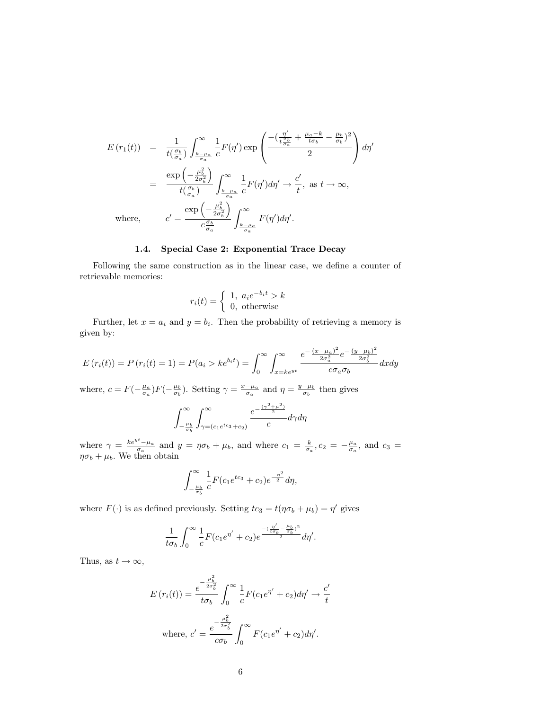$$
E(r_1(t)) = \frac{1}{t(\frac{\sigma_b}{\sigma_a})} \int_{\frac{k-\mu_a}{\sigma_a}}^{\infty} \frac{1}{c} F(\eta') \exp\left(\frac{-(\frac{\eta'}{t\frac{\sigma_b}{\sigma_a}} + \frac{\mu_a - k}{t\sigma_b} - \frac{\mu_b}{\sigma_b})^2}{2}\right) d\eta'
$$
  

$$
= \frac{\exp\left(-\frac{\mu_b^2}{2\sigma_b^2}\right)}{t(\frac{\sigma_b}{\sigma_a})} \int_{\frac{k-\mu_a}{\sigma_a}}^{\infty} \frac{1}{c} F(\eta') d\eta' \to \frac{c'}{t}, \text{ as } t \to \infty,
$$
  
where, 
$$
c' = \frac{\exp\left(-\frac{\mu_b^2}{2\sigma_b^2}\right)}{c\frac{\sigma_b}{\sigma_a}} \int_{\frac{k-\mu_a}{\sigma_a}}^{\infty} F(\eta') d\eta'.
$$

# 1.4. Special Case 2: Exponential Trace Decay

Following the same construction as in the linear case, we define a counter of retrievable memories:

$$
r_i(t) = \begin{cases} 1, & a_i e^{-b_i t} > k \\ 0, & \text{otherwise} \end{cases}
$$

Further, let  $x = a_i$  and  $y = b_i$ . Then the probability of retrieving a memory is given by:

$$
E(r_i(t)) = P(r_i(t) = 1) = P(a_i > ke^{b_i t}) = \int_0^\infty \int_{x = ke^{yt}}^\infty \frac{e^{-\frac{(x - \mu_a)^2}{2\sigma_a^2}} e^{-\frac{(y - \mu_b)^2}{2\sigma_b^2}}}{c\sigma_a \sigma_b} dx dy
$$

where,  $c = F(-\frac{\mu_a}{\sigma_a})F(-\frac{\mu_b}{\sigma_b})$ . Setting  $\gamma = \frac{x-\mu_a}{\sigma_a}$  and  $\eta = \frac{y-\mu_b}{\sigma_b}$  then gives

$$
\int_{-\frac{\mu_b}{\sigma_b}}^{\infty}\int_{\gamma=(c_1e^{tc_3}+c_2)}^{\infty}\frac{e^{-\frac{(\gamma^2+\mu^2)}{2}}}{c}d\gamma d\eta
$$

where  $\gamma = \frac{ke^{yt}-\mu_a}{\sigma_a}$  and  $y = \eta \sigma_b + \mu_b$ , and where  $c_1 = \frac{k}{\sigma_a}$ ,  $c_2 = -\frac{\mu_a}{\sigma_a}$ , and  $c_3 =$  $\eta \sigma_b + \mu_b$ . We then obtain

$$
\int_{-\frac{\mu_b}{\sigma_b}}^{\infty} \frac{1}{c} F(c_1 e^{tc_3} + c_2) e^{\frac{-\eta^2}{2}} d\eta,
$$

where  $F(\cdot)$  is as defined previously. Setting  $tc_3 = t(\eta \sigma_b + \mu_b) = \eta'$  gives

$$
\frac{1}{t\sigma_b}\int_0^\infty \frac{1}{c}F(c_1e^{\eta'}+c_2)e^{\frac{-(\frac{\eta'}{t\sigma_b}-\frac{\mu_b}{\sigma_b})^2}{2}}d\eta'.
$$

Thus, as  $t \to \infty$ ,

$$
E(r_i(t)) = \frac{e^{-\frac{\mu_b^2}{2\sigma_b^2}}}{t\sigma_b} \int_0^\infty \frac{1}{c} F(c_1 e^{\eta'} + c_2) d\eta' \to \frac{c'}{t}
$$
  
where,  $c' = \frac{e^{-\frac{\mu_b^2}{2\sigma_b^2}}}{c\sigma_b} \int_0^\infty F(c_1 e^{\eta'} + c_2) d\eta'.$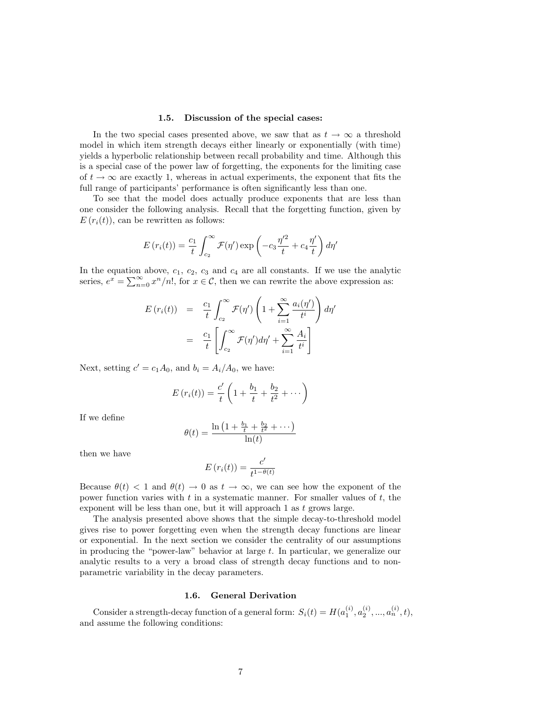#### 1.5. Discussion of the special cases:

In the two special cases presented above, we saw that as  $t \to \infty$  a threshold model in which item strength decays either linearly or exponentially (with time) yields a hyperbolic relationship between recall probability and time. Although this is a special case of the power law of forgetting, the exponents for the limiting case of  $t \to \infty$  are exactly 1, whereas in actual experiments, the exponent that fits the full range of participants' performance is often significantly less than one.

To see that the model does actually produce exponents that are less than one consider the following analysis. Recall that the forgetting function, given by  $E(r_i(t))$ , can be rewritten as follows:

$$
E(r_i(t)) = \frac{c_1}{t} \int_{c_2}^{\infty} \mathcal{F}(\eta') \exp\left(-c_3 \frac{\eta'^2}{t} + c_4 \frac{\eta'}{t}\right) d\eta'
$$

In the equation above,  $c_1$ ,  $c_2$ ,  $c_3$  and  $c_4$  are all constants. If we use the analytic series,  $e^x = \sum_{n=0}^{\infty} x^n/n!$ , for  $x \in \mathcal{C}$ , then we can rewrite the above expression as:

$$
E(r_i(t)) = \frac{c_1}{t} \int_{c_2}^{\infty} \mathcal{F}(\eta') \left(1 + \sum_{i=1}^{\infty} \frac{a_i(\eta')}{t^i}\right) d\eta'
$$

$$
= \frac{c_1}{t} \left[ \int_{c_2}^{\infty} \mathcal{F}(\eta') d\eta' + \sum_{i=1}^{\infty} \frac{A_i}{t^i} \right]
$$

Next, setting  $c' = c_1 A_0$ , and  $b_i = A_i/A_0$ , we have:

$$
E(r_i(t)) = \frac{c'}{t} \left( 1 + \frac{b_1}{t} + \frac{b_2}{t^2} + \cdots \right)
$$

If we define

$$
\theta(t) = \frac{\ln\left(1 + \frac{b_1}{t} + \frac{b_2}{t^2} + \cdots\right)}{\ln(t)}
$$

then we have

$$
E(r_i(t)) = \frac{c'}{t^{1-\theta(t)}}
$$

Because  $\theta(t) < 1$  and  $\theta(t) \to 0$  as  $t \to \infty$ , we can see how the exponent of the power function varies with  $t$  in a systematic manner. For smaller values of  $t$ , the exponent will be less than one, but it will approach 1 as t grows large.

The analysis presented above shows that the simple decay-to-threshold model gives rise to power forgetting even when the strength decay functions are linear or exponential. In the next section we consider the centrality of our assumptions in producing the "power-law" behavior at large  $t$ . In particular, we generalize our analytic results to a very a broad class of strength decay functions and to nonparametric variability in the decay parameters.

### 1.6. General Derivation

Consider a strength-decay function of a general form:  $S_i(t) = H(a_1^{(i)}, a_2^{(i)}, ..., a_n^{(i)}, t)$ , and assume the following conditions: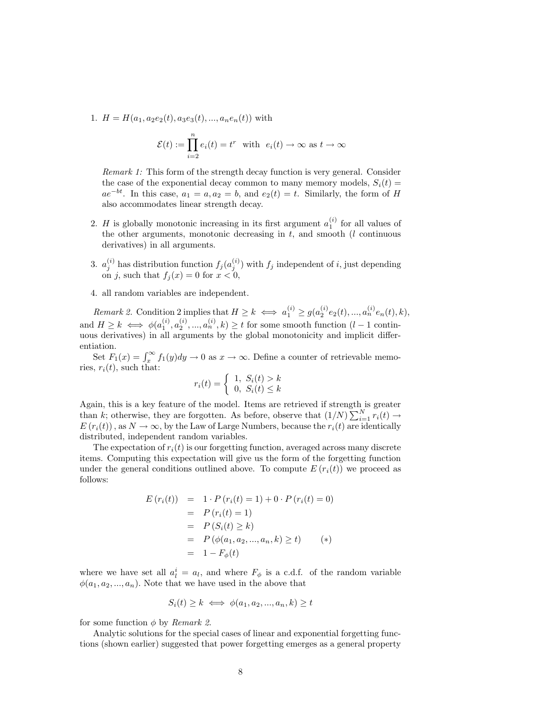1.  $H = H(a_1, a_2e_2(t), a_3e_3(t), ..., a_ne_n(t))$  with

$$
\mathcal{E}(t) := \prod_{i=2}^{n} e_i(t) = t^r \text{ with } e_i(t) \to \infty \text{ as } t \to \infty
$$

Remark 1: This form of the strength decay function is very general. Consider the case of the exponential decay common to many memory models,  $S_i(t)$  =  $ae^{-bt}$ . In this case,  $a_1 = a, a_2 = b$ , and  $e_2(t) = t$ . Similarly, the form of H also accommodates linear strength decay.

- 2. H is globally monotonic increasing in its first argument  $a_1^{(i)}$  for all values of the other arguments, monotonic decreasing in  $t$ , and smooth ( $l$  continuous derivatives) in all arguments.
- 3.  $a_j^{(i)}$  has distribution function  $f_j(a_j^{(i)})$  with  $f_j$  independent of *i*, just depending on j, such that  $f_j(x) = 0$  for  $x < 0$ ,
- 4. all random variables are independent.

Remark 2. Condition 2 implies that  $H \geq k \iff a_1^{(i)} \geq g(a_2^{(i)}e_2(t),...,a_n^{(i)}e_n(t),k),$ and  $H \geq k \iff \phi(a_1^{(i)}, a_2^{(i)}, ..., a_n^{(i)}, k) \geq t$  for some smooth function  $(l-1)$  continuous derivatives) in all arguments by the global monotonicity and implicit differentiation.

Set  $F_1(x) = \int_x^{\infty} f_1(y) dy \to 0$  as  $x \to \infty$ . Define a counter of retrievable memories,  $r_i(t)$ , such that:

$$
r_i(t) = \begin{cases} 1, S_i(t) > k \\ 0, S_i(t) \le k \end{cases}
$$

Again, this is a key feature of the model. Items are retrieved if strength is greater than k; otherwise, they are forgotten. As before, observe that  $(1/N)\sum_{i=1}^{N} r_i(t) \rightarrow$  $E(r_i(t))$ , as  $N \to \infty$ , by the Law of Large Numbers, because the  $r_i(t)$  are identically distributed, independent random variables.

The expectation of  $r_i(t)$  is our forgetting function, averaged across many discrete items. Computing this expectation will give us the form of the forgetting function under the general conditions outlined above. To compute  $E(r_i(t))$  we proceed as follows:

$$
E(r_i(t)) = 1 \cdot P(r_i(t) = 1) + 0 \cdot P(r_i(t) = 0)
$$
  
=  $P(r_i(t) = 1)$   
=  $P(S_i(t) \ge k)$   
=  $P(\phi(a_1, a_2, ..., a_n, k) \ge t)$  (\*)  
=  $1 - F_{\phi}(t)$ 

where we have set all  $a_l^i = a_l$ , and where  $F_{\phi}$  is a c.d.f. of the random variable  $\phi(a_1, a_2, ..., a_n)$ . Note that we have used in the above that

$$
S_i(t) \ge k \iff \phi(a_1, a_2, ..., a_n, k) \ge t
$$

for some function  $\phi$  by *Remark 2.* 

Analytic solutions for the special cases of linear and exponential forgetting functions (shown earlier) suggested that power forgetting emerges as a general property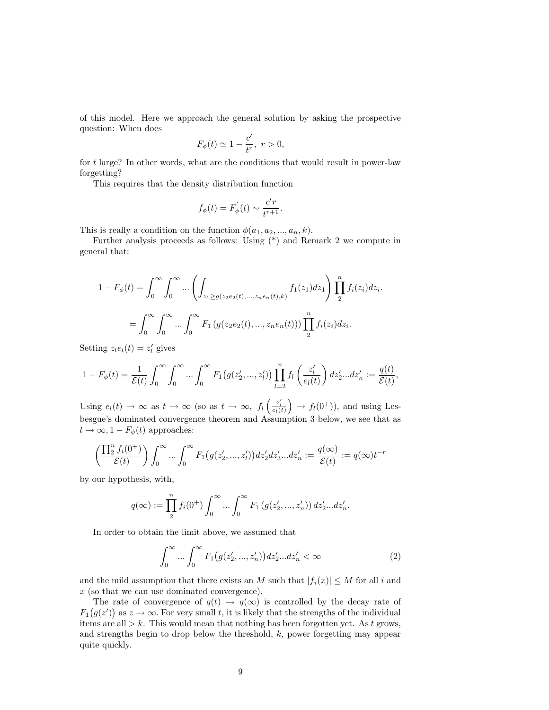of this model. Here we approach the general solution by asking the prospective question: When does

$$
F_{\phi}(t) \simeq 1 - \frac{c'}{t^r}, \ r > 0,
$$

for t large? In other words, what are the conditions that would result in power-law forgetting?

This requires that the density distribution function

$$
f_{\phi}(t) = F_{\phi}'(t) \sim \frac{c'r}{t^{r+1}}.
$$

This is really a condition on the function  $\phi(a_1, a_2, ..., a_n, k)$ .

Further analysis proceeds as follows: Using (\*) and Remark 2 we compute in general that:

$$
1 - F_{\phi}(t) = \int_0^{\infty} \int_0^{\infty} \dots \left( \int_{z_1 \ge g(z_2 e_2(t), \dots, z_n e_n(t), k)} f_1(z_1) dz_1 \right) \prod_2^n f_i(z_i) dz_i.
$$
  
= 
$$
\int_0^{\infty} \int_0^{\infty} \dots \int_0^{\infty} F_1(g(z_2 e_2(t), \dots, z_n e_n(t))) \prod_2^n f_i(z_i) dz_i.
$$

Setting  $z_le_l(t) = z'_l$  gives

$$
1 - F_{\phi}(t) = \frac{1}{\mathcal{E}(t)} \int_0^{\infty} \int_0^{\infty} \dots \int_0^{\infty} F_1(g(z'_2, ..., z'_l)) \prod_{l=2}^n f_l\left(\frac{z'_l}{e_l(t)}\right) dz'_2 \dots dz'_n := \frac{q(t)}{\mathcal{E}(t)},
$$

Using  $e_l(t) \to \infty$  as  $t \to \infty$  (so as  $t \to \infty$ ,  $f_l\left(\frac{z'_l}{e_l(t)}\right) \to f_l(0^+)$ ), and using Lesbesgue's dominated convergence theorem and Assumption 3 below, we see that as  $t \to \infty, 1 - F_{\phi}(t)$  approaches:

$$
\left(\frac{\prod_{2}^{n} f_i(0^+)}{\mathcal{E}(t)}\right) \int_0^{\infty} \dots \int_0^{\infty} F_1\big(g(z'_2, \dots, z'_l)\big) dz'_2 dz'_3 \dots dz'_n := \frac{q(\infty)}{\mathcal{E}(t)} := q(\infty)t^{-r}
$$

by our hypothesis, with,

$$
q(\infty) := \prod_{2}^{n} f_i(0^+) \int_0^{\infty} \dots \int_0^{\infty} F_1(g(z'_2, ..., z'_n)) dz'_2...dz'_n.
$$

In order to obtain the limit above, we assumed that

$$
\int_0^\infty \dots \int_0^\infty F_1(g(z'_2, ..., z'_n)) dz'_2...dz'_n < \infty
$$
 (2)

and the mild assumption that there exists an M such that  $|f_i(x)| \leq M$  for all i and x (so that we can use dominated convergence).

The rate of convergence of  $q(t) \rightarrow q(\infty)$  is controlled by the decay rate of  $F_1(g(z'))$  as  $z \to \infty$ . For very small t, it is likely that the strengths of the individual items are all  $> k$ . This would mean that nothing has been forgotten yet. As t grows, and strengths begin to drop below the threshold, k, power forgetting may appear quite quickly.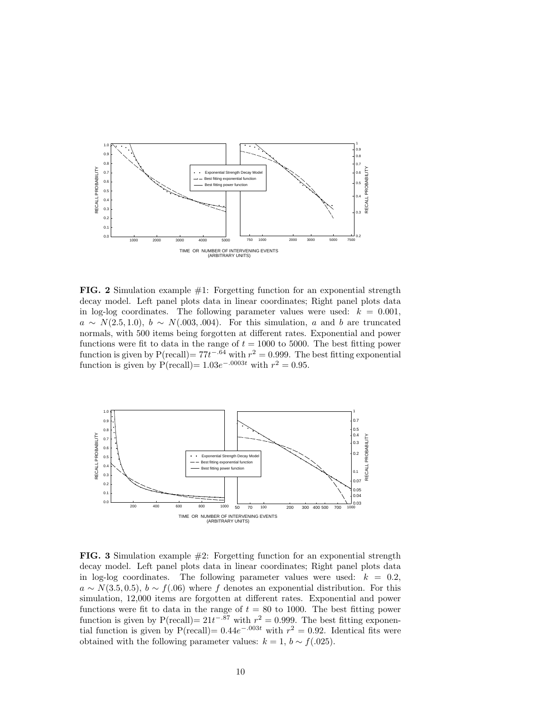

**FIG. 2** Simulation example  $\#1$ : Forgetting function for an exponential strength decay model. Left panel plots data in linear coordinates; Right panel plots data in log-log coordinates. The following parameter values were used:  $k = 0.001$ ,  $a \sim N(2.5, 1.0), b \sim N(.003, .004)$ . For this simulation, a and b are truncated normals, with 500 items being forgotten at different rates. Exponential and power functions were fit to data in the range of  $t = 1000$  to 5000. The best fitting power function is given by  $P(\text{recall}) = 77t^{-.64}$  with  $r^2 = 0.999$ . The best fitting exponential function is given by  $P(\text{recall}) = 1.03e^{-.0003t}$  with  $r^2 = 0.95$ .



**FIG. 3** Simulation example  $\#2$ : Forgetting function for an exponential strength decay model. Left panel plots data in linear coordinates; Right panel plots data in log-log coordinates. The following parameter values were used:  $k = 0.2$ ,  $a \sim N(3.5, 0.5), b \sim f(.06)$  where f denotes an exponential distribution. For this simulation, 12,000 items are forgotten at different rates. Exponential and power functions were fit to data in the range of  $t = 80$  to 1000. The best fitting power function is given by  $P(\text{recall}) = 21t^{-.87}$  with  $r^2 = 0.999$ . The best fitting exponential function is given by  $P(\text{recall}) = 0.44e^{-0.003t}$  with  $r^2 = 0.92$ . Identical fits were obtained with the following parameter values:  $k = 1$ ,  $b \sim f(.025)$ .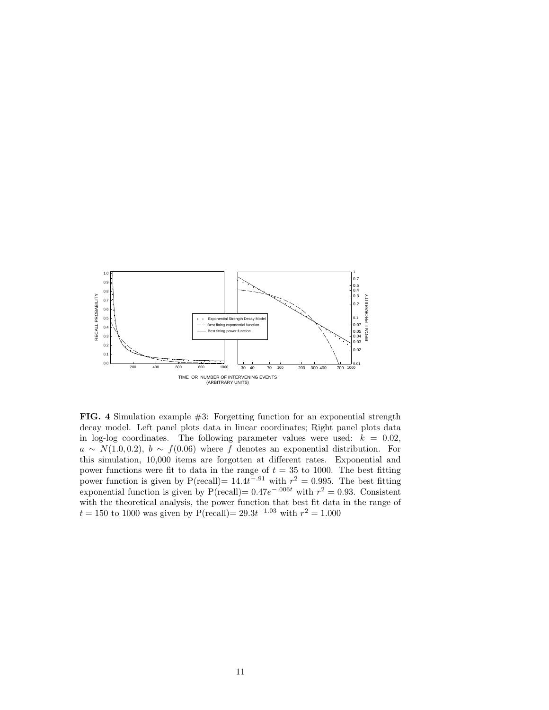

FIG. 4 Simulation example #3: Forgetting function for an exponential strength decay model. Left panel plots data in linear coordinates; Right panel plots data in log-log coordinates. The following parameter values were used:  $k = 0.02$ ,  $a \sim N(1.0, 0.2), b \sim f(0.06)$  where f denotes an exponential distribution. For this simulation, 10,000 items are forgotten at different rates. Exponential and power functions were fit to data in the range of  $t = 35$  to 1000. The best fitting power function is given by  $P(\text{recall}) = 14.4t^{-.91}$  with  $r^2 = 0.995$ . The best fitting exponential function is given by  $P(\text{recall}) = 0.47e^{-0.006t}$  with  $r^2 = 0.93$ . Consistent with the theoretical analysis, the power function that best fit data in the range of  $t = 150$  to 1000 was given by P(recall) =  $29.3t^{-1.03}$  with  $r^2 = 1.000$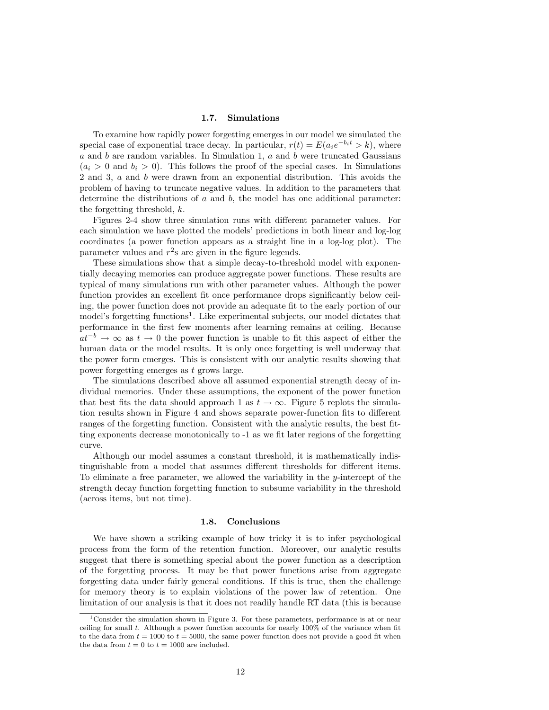#### 1.7. Simulations

To examine how rapidly power forgetting emerges in our model we simulated the special case of exponential trace decay. In particular,  $r(t) = E(a_i e^{-b_i t} > k)$ , where a and b are random variables. In Simulation 1, a and b were truncated Gaussians  $(a_i > 0$  and  $b_i > 0$ . This follows the proof of the special cases. In Simulations 2 and 3, a and b were drawn from an exponential distribution. This avoids the problem of having to truncate negative values. In addition to the parameters that determine the distributions of  $a$  and  $b$ , the model has one additional parameter: the forgetting threshold, k.

Figures 2-4 show three simulation runs with different parameter values. For each simulation we have plotted the models' predictions in both linear and log-log coordinates (a power function appears as a straight line in a log-log plot). The parameter values and  $r^2$ s are given in the figure legends.

These simulations show that a simple decay-to-threshold model with exponentially decaying memories can produce aggregate power functions. These results are typical of many simulations run with other parameter values. Although the power function provides an excellent fit once performance drops significantly below ceiling, the power function does not provide an adequate fit to the early portion of our model's forgetting functions<sup>1</sup>. Like experimental subjects, our model dictates that performance in the first few moments after learning remains at ceiling. Because  $at^{-b} \rightarrow \infty$  as  $t \rightarrow 0$  the power function is unable to fit this aspect of either the human data or the model results. It is only once forgetting is well underway that the power form emerges. This is consistent with our analytic results showing that power forgetting emerges as t grows large.

The simulations described above all assumed exponential strength decay of individual memories. Under these assumptions, the exponent of the power function that best fits the data should approach 1 as  $t \to \infty$ . Figure 5 replots the simulation results shown in Figure 4 and shows separate power-function fits to different ranges of the forgetting function. Consistent with the analytic results, the best fitting exponents decrease monotonically to -1 as we fit later regions of the forgetting curve.

Although our model assumes a constant threshold, it is mathematically indistinguishable from a model that assumes different thresholds for different items. To eliminate a free parameter, we allowed the variability in the y-intercept of the strength decay function forgetting function to subsume variability in the threshold (across items, but not time).

#### 1.8. Conclusions

We have shown a striking example of how tricky it is to infer psychological process from the form of the retention function. Moreover, our analytic results suggest that there is something special about the power function as a description of the forgetting process. It may be that power functions arise from aggregate forgetting data under fairly general conditions. If this is true, then the challenge for memory theory is to explain violations of the power law of retention. One limitation of our analysis is that it does not readily handle RT data (this is because

<sup>1</sup>Consider the simulation shown in Figure 3. For these parameters, performance is at or near ceiling for small  $t$ . Although a power function accounts for nearly 100% of the variance when fit to the data from  $t = 1000$  to  $t = 5000$ , the same power function does not provide a good fit when the data from  $t = 0$  to  $t = 1000$  are included.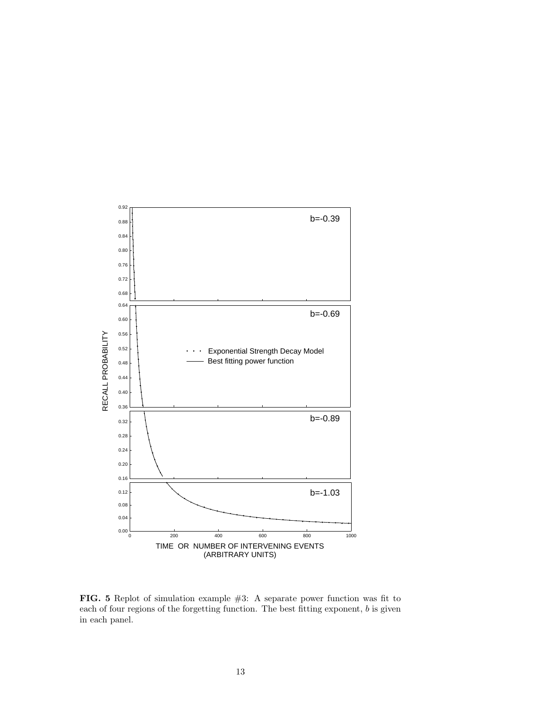

FIG. 5 Replot of simulation example #3: A separate power function was fit to each of four regions of the forgetting function. The best fitting exponent, b is given in each panel.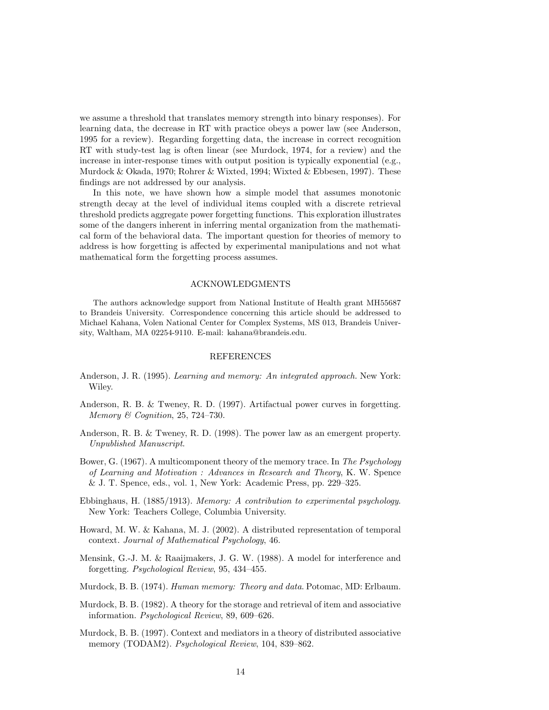we assume a threshold that translates memory strength into binary responses). For learning data, the decrease in RT with practice obeys a power law (see Anderson, 1995 for a review). Regarding forgetting data, the increase in correct recognition RT with study-test lag is often linear (see Murdock, 1974, for a review) and the increase in inter-response times with output position is typically exponential (e.g., Murdock & Okada, 1970; Rohrer & Wixted, 1994; Wixted & Ebbesen, 1997). These findings are not addressed by our analysis.

In this note, we have shown how a simple model that assumes monotonic strength decay at the level of individual items coupled with a discrete retrieval threshold predicts aggregate power forgetting functions. This exploration illustrates some of the dangers inherent in inferring mental organization from the mathematical form of the behavioral data. The important question for theories of memory to address is how forgetting is affected by experimental manipulations and not what mathematical form the forgetting process assumes.

### ACKNOWLEDGMENTS

The authors acknowledge support from National Institute of Health grant MH55687 to Brandeis University. Correspondence concerning this article should be addressed to Michael Kahana, Volen National Center for Complex Systems, MS 013, Brandeis University, Waltham, MA 02254-9110. E-mail: kahana@brandeis.edu.

#### REFERENCES

- Anderson, J. R. (1995). Learning and memory: An integrated approach. New York: Wiley.
- Anderson, R. B. & Tweney, R. D. (1997). Artifactual power curves in forgetting. Memory & Cognition, 25, 724–730.
- Anderson, R. B. & Tweney, R. D. (1998). The power law as an emergent property. Unpublished Manuscript.
- Bower, G. (1967). A multicomponent theory of the memory trace. In The Psychology of Learning and Motivation : Advances in Research and Theory, K. W. Spence & J. T. Spence, eds., vol. 1, New York: Academic Press, pp. 229–325.
- Ebbinghaus, H. (1885/1913). Memory: A contribution to experimental psychology. New York: Teachers College, Columbia University.
- Howard, M. W. & Kahana, M. J. (2002). A distributed representation of temporal context. Journal of Mathematical Psychology, 46.
- Mensink, G.-J. M. & Raaijmakers, J. G. W. (1988). A model for interference and forgetting. Psychological Review, 95, 434–455.
- Murdock, B. B. (1974). Human memory: Theory and data. Potomac, MD: Erlbaum.
- Murdock, B. B. (1982). A theory for the storage and retrieval of item and associative information. Psychological Review, 89, 609–626.
- Murdock, B. B. (1997). Context and mediators in a theory of distributed associative memory (TODAM2). Psychological Review, 104, 839–862.